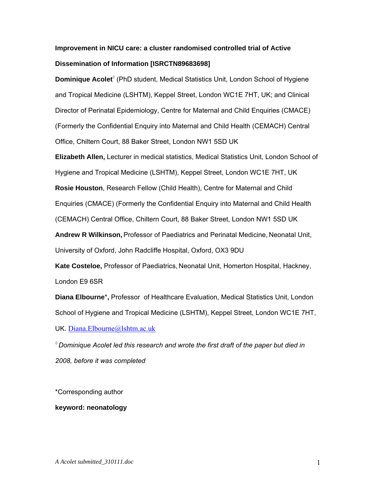# **Improvement in NICU care: a cluster randomised controlled trial of Active Dissemination of Information [ISRCTN89683698]**

Dominique Acolet<sup>®</sup> (PhD student, Medical Statistics Unit, London School of Hygiene and Tropical Medicine (LSHTM), Keppel Street, London WC1E 7HT, UK; and Clinical Director of Perinatal Epidemiology, Centre for Maternal and Child Enquiries (CMACE) (Formerly the Confidential Enquiry into Maternal and Child Health (CEMACH) Central Office, Chiltern Court, 88 Baker Street, London NW1 5SD UK

**Elizabeth Allen,** Lecturer in medical statistics, Medical Statistics Unit, London School of Hygiene and Tropical Medicine (LSHTM), Keppel Street, London WC1E 7HT, UK

**Rosie Houston**, Research Fellow (Child Health), Centre for Maternal and Child

Enquiries (CMACE) (Formerly the Confidential Enquiry into Maternal and Child Health

(CEMACH) Central Office, Chiltern Court, 88 Baker Street, London NW1 5SD UK

**Andrew R Wilkinson,** Professor of Paediatrics and Perinatal Medicine, Neonatal Unit,

University of Oxford, John Radcliffe Hospital, Oxford, OX3 9DU

**Kate Costeloe,** Professor of Paediatrics, Neonatal Unit, Homerton Hospital, Hackney, London E9 6SR

**Diana Elbourne**\***,** Professor of Healthcare Evaluation, Medical Statistics Unit, London School of Hygiene and Tropical Medicine (LSHTM), Keppel Street, London WC1E 7HT,

UK. [Diana.Elbourne@lshtm.ac.uk](mailto:Diana.Elbourne@lshtm.ac.uk)

*◊ Dominique Acolet led this research and wrote the first draft of the paper but died in 2008, before it was completed* 

\*Corresponding author

**keyword: neonatology**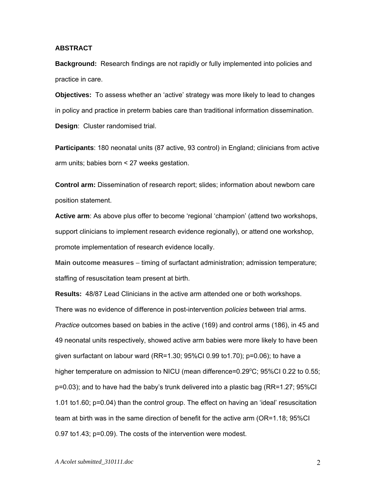#### **ABSTRACT**

**Background:** Research findings are not rapidly or fully implemented into policies and practice in care.

**Objectives:** To assess whether an 'active' strategy was more likely to lead to changes in policy and practice in preterm babies care than traditional information dissemination. **Design**: Cluster randomised trial.

**Participants**: 180 neonatal units (87 active, 93 control) in England; clinicians from active arm units; babies born < 27 weeks gestation.

**Control arm:** Dissemination of research report; slides; information about newborn care position statement.

Active arm: As above plus offer to become 'regional 'champion' (attend two workshops, support clinicians to implement research evidence regionally), or attend one workshop, promote implementation of research evidence locally.

**Main outcome measures** – timing of surfactant administration; admission temperature; staffing of resuscitation team present at birth.

**Results:** 48/87 Lead Clinicians in the active arm attended one or both workshops. There was no evidence of difference in post-intervention *policies* between trial arms. *Practice* outcomes based on babies in the active (169) and control arms (186), in 45 and 49 neonatal units respectively, showed active arm babies were more likely to have been given surfactant on labour ward (RR=1.30;  $95\%$ CI 0.99 to1.70); p=0.06); to have a higher temperature on admission to NICU (mean difference=0.29°C; 95%CI 0.22 to 0.55; p=0.03); and to have had the baby's trunk delivered into a plastic bag (RR=1.27; 95%CI 1.01 to1.60; p=0.04) than the control group. The effect on having an 'ideal' resuscitation team at birth was in the same direction of benefit for the active arm (OR=1.18; 95%CI 0.97 to1.43; p=0.09). The costs of the intervention were modest.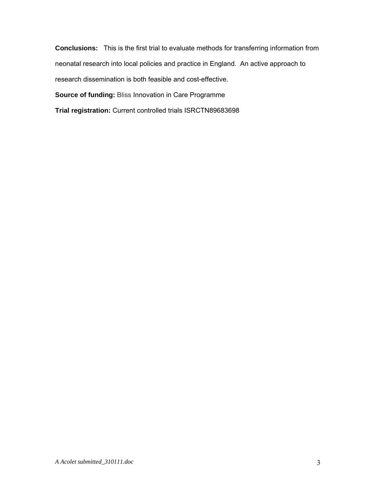<span id="page-2-1"></span><span id="page-2-0"></span>**Conclusions:** This is the first trial to evaluate methods for transferring information from neonatal research into local policies and practice in England. An active approach to research dissemination is both feasible and cost-effective. **Source of funding:** Bliss Innovation in Care Programme

**Trial registration:** Current controlled trials ISRCTN89683698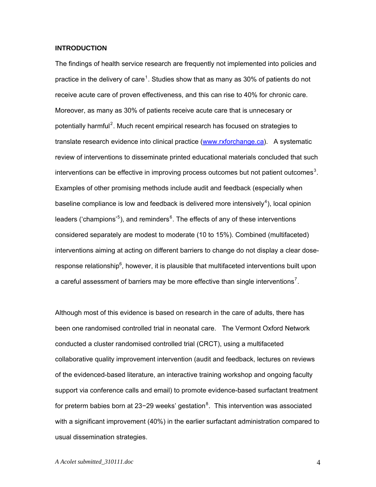#### <span id="page-3-1"></span>**INTRODUCTION**

The findings of health service research are frequently not implemented into policies and practice in the delivery of care<sup>[1](#page-2-0)</sup>. Studies show that as many as 30% of patients do not receive acute care of proven effectiveness, and this can rise to 40% for chronic care. Moreover, as many as 30% of patients receive acute care that is unnecesary or potentially harmful<sup>[2](#page-2-1)</sup>. Much recent empirical research has focused on strategies to translate research evidence into clinical practice [\(www.rxforchange.ca\)](http://www.rxforchange.ca/). A systematic review of interventions to disseminate printed educational materials concluded that such interventions can be effective in improving process outcomes but not patient outcomes<sup>[3](#page-2-1)</sup>. Examples of other promising methods include audit and feedback (especially when baseline compliance is low and feedback is delivered more intensively<sup>[4](#page-2-1)</sup>), local opinion leaders ('champions'<sup>[5](#page-2-1)</sup>), and reminders<sup>[6](#page-2-1)</sup>. The effects of any of these interventions considered separately are modest to moderate (10 to 15%). Combined (multifaceted) interventions aiming at acting on different barriers to change do not display a clear doseresponse relationship $6$ , however, it is plausible that multifaceted interventions built upon a careful assessment of barriers may be more effective than single interventions<sup>[7](#page-2-1)</sup>.

<span id="page-3-0"></span>Although most of this evidence is based on research in the care of adults, there has been one randomised controlled trial in neonatal care. The Vermont Oxford Network conducted a cluster randomised controlled trial (CRCT), using a multifaceted collaborative quality improvement intervention (audit and feedback, lectures on reviews of the evidenced-based literature, an interactive training workshop and ongoing faculty support via conference calls and email) to promote evidence-based surfactant treatment for preterm babies born at 23-29 weeks' gestation<sup>[8](#page-2-1)</sup>. This intervention was associated with a significant improvement (40%) in the earlier surfactant administration compared to usual dissemination strategies.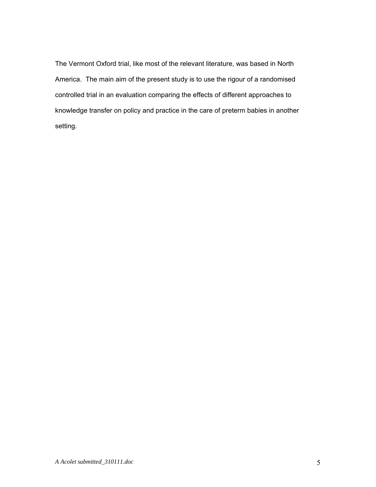<span id="page-4-0"></span>The Vermont Oxford trial, like most of the relevant literature, was based in North America. The main aim of the present study is to use the rigour of a randomised controlled trial in an evaluation comparing the effects of different approaches to knowledge transfer on policy and practice in the care of preterm babies in another setting.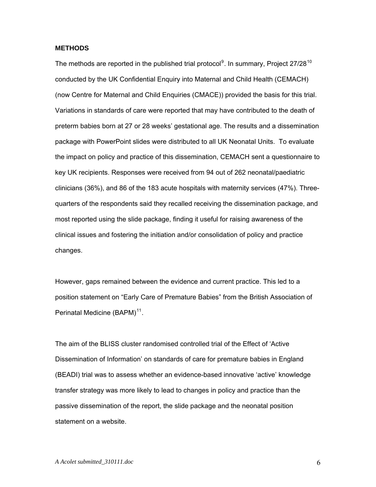#### **METHODS**

The methods are reported in the published trial protocol<sup>[9](#page-3-1)</sup>. In summary, Project 27/28<sup>[10](#page-3-1)</sup> conducted by the UK Confidential Enquiry into Maternal and Child Health (CEMACH) (now Centre for Maternal and Child Enquiries (CMACE)) provided the basis for this trial. Variations in standards of care were reported that may have contributed to the death of preterm babies born at 27 or 28 weeks' gestational age. The results and a dissemination package with PowerPoint slides were distributed to all UK Neonatal Units. To evaluate the impact on policy and practice of this dissemination, CEMACH sent a questionnaire to key UK recipients. Responses were received from 94 out of 262 neonatal/paediatric clinicians (36%), and 86 of the 183 acute hospitals with maternity services (47%). Threequarters of the respondents said they recalled receiving the dissemination package, and most reported using the slide package, finding it useful for raising awareness of the clinical issues and fostering the initiation and/or consolidation of policy and practice changes.

However, gaps remained between the evidence and current practice. This led to a position statement on "Early Care of Premature Babies" from the British Association of Perinatal Medicine (BAPM)<sup>[11](#page-3-1)</sup>.

The aim of the BLISS cluster randomised controlled trial of the Effect of 'Active Dissemination of Information' on standards of care for premature babies in England (BEADI) trial was to assess whether an evidence-based innovative 'active' knowledge transfer strategy was more likely to lead to changes in policy and practice than the passive dissemination of the report, the slide package and the neonatal position statement on a website.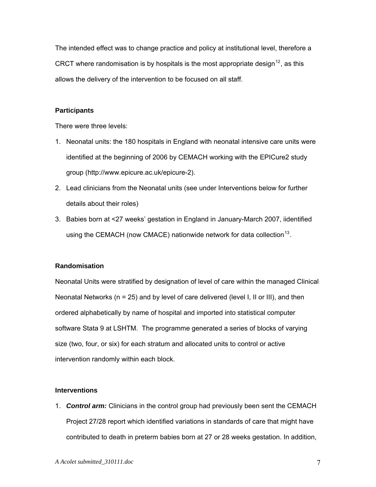The intended effect was to change practice and policy at institutional level, therefore a CRCT where randomisation is by hospitals is the most appropriate design<sup>[12](#page-3-1)</sup>, as this allows the delivery of the intervention to be focused on all staff.

### **Participants**

There were three levels:

- 1. Neonatal units: the 180 hospitals in England with neonatal intensive care units were identified at the beginning of 2006 by CEMACH working with the EPICure2 study group (http://www.epicure.ac.uk/epicure-2).
- 2. Lead clinicians from the Neonatal units (see under Interventions below for further details about their roles)
- 3. Babies born at <27 weeks' gestation in England in January-March 2007, iidentified using the CEMACH (now CMACE) nationwide network for data collection  $13$ .

### **Randomisation**

Neonatal Units were stratified by designation of level of care within the managed Clinical Neonatal Networks (n = 25) and by level of care delivered (level I, II or III), and then ordered alphabetically by name of hospital and imported into statistical computer software Stata 9 at LSHTM. The programme generated a series of blocks of varying size (two, four, or six) for each stratum and allocated units to control or active intervention randomly within each block.

#### **Interventions**

1. *Control arm:* Clinicians in the control group had previously been sent the CEMACH Project 27/28 report which identified variations in standards of care that might have contributed to death in preterm babies born at 27 or 28 weeks gestation. In addition,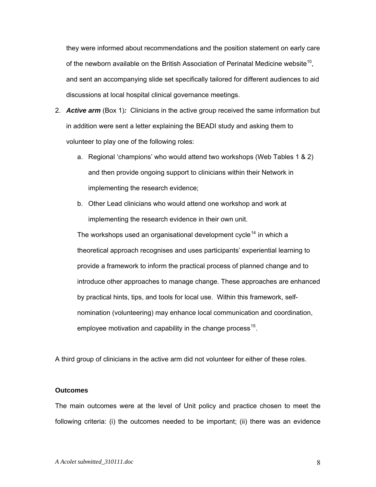they were informed about recommendations and the position statement on early care of the newborn available on the British Association of Perinatal Medicine website<sup>10</sup>, and sent an accompanying slide set specifically tailored for different audiences to aid discussions at local hospital clinical governance meetings.

- 2. *Active arm* (Box 1)*:* Clinicians in the active group received the same information but in addition were sent a letter explaining the BEADI study and asking them to volunteer to play one of the following roles:
	- a. Regional 'champions' who would attend two workshops (Web Tables 1 & 2) and then provide ongoing support to clinicians within their Network in implementing the research evidence;
	- b. Other Lead clinicians who would attend one workshop and work at implementing the research evidence in their own unit.

The workshops used an organisational development cycle<sup>[14](#page-3-1)</sup> in which a theoretical approach recognises and uses participants' experiential learning to provide a framework to inform the practical process of planned change and to introduce other approaches to manage change. These approaches are enha nced by practical hints, tips, and tools for local use. Within this framework, se lfnomination (volunteering) may enhance local communication and coordination, employee motivation and capability in the change process<sup>[15](#page-3-1)</sup>.

A third group of clinicians in the active arm did not volunteer for either of these roles.

#### **Outcomes**

The main outcomes were at the level of Unit policy and practice chosen to meet the following criteria: (i) the outcomes needed to be important; (ii) there was an evidence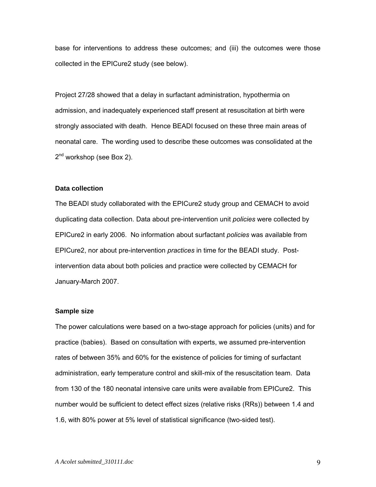base for interventions to address these outcomes; and (iii) the outcomes were those collected in the EPICure2 study (see below).

Project 27/28 showed that a delay in surfactant administration, hypothermia on admission, and inadequately experienced staff present at resuscitation at birth were strongly associated with death. Hence BEADI focused on these three main areas of neonatal care. The wording used to describe these outcomes was consolidated at the 2<sup>nd</sup> workshop (see Box 2).

#### **Data collection**

The BEADI study collaborated with the EPICure2 study group and CEMACH to avoid duplicating data collection. Data about pre-intervention unit *policies* were collected by EPICure2 in early 2006. No information about surfactant *policies* was available from EPICure2, nor about pre-intervention *practices* in time for the BEADI study. Postintervention data about both policies and practice were collected by CEMACH for January-March 2007.

#### **Sample size**

The power calculations were based on a two-stage approach for policies (units) and for practice (babies). Based on consultation with experts, we assumed pre-intervention rates of between 35% and 60% for the existence of policies for timing of surfactant administration, early temperature control and skill-mix of the resuscitation team. Data from 130 of the 180 neonatal intensive care units were available from EPICure2. This number would be sufficient to detect effect sizes (relative risks (RRs)) between 1.4 and 1.6, with 80% power at 5% level of statistical significance (two-sided test).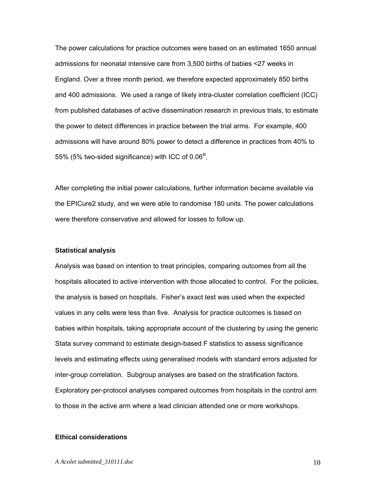The power calculations for practice outcomes were based on an estimated 1650 annual admissions for neonatal intensive care from 3,500 births of babies <27 weeks in England. Over a three month period, we therefore expected approximately 850 births and 400 admissions. We used a range of likely intra-cluster correlation coefficient (ICC) from published databases of active dissemination research in previous trials, to estimate the power to detect differences in practice between the trial arms. For example, 400 admissions will have around 80% power to detect a difference in practices from 40% to 55% (5% two-sided significance) with ICC of  $0.06^R$ .

After completing the initial power calculations, further information became available via the EPICure2 study, and we were able to randomise 180 units. The power calculations were therefore conservative and allowed for losses to follow up.

#### **Statistical analysis**

Analysis was based on intention to treat principles, comparing outcomes from all the hospitals allocated to active intervention with those allocated to control. For the policies, the analysis is based on hospitals. Fisher's exact test was used when the expected values in any cells were less than five. Analysis for practice outcomes is based on babies within hospitals, taking appropriate account of the clustering by using the generic Stata survey command to estimate design-based F statistics to assess significance levels and estimating effects using generalised models with standard errors adjusted for inter-group correlation. Subgroup analyses are based on the stratification factors. Exploratory per-protocol analyses compared outcomes from hospitals in the control arm to those in the active arm where a lead clinician attended one or more workshops.

#### **Ethical considerations**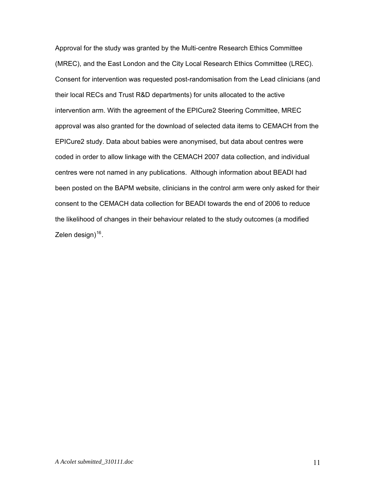<span id="page-10-0"></span>Approval for the study was granted by the Multi-centre Research Ethics Committee (MREC), and the East London and the City Local Research Ethics Committee (LREC). Consent for intervention was requested post-randomisation from the Lead clinicians (and their local RECs and Trust R&D departments) for units allocated to the active intervention arm. With the agreement of the EPICure2 Steering Committee, MREC approval was also granted for the download of selected data items to CEMACH from the EPICure2 study. Data about babies were anonymised, but data about centres were coded in order to allow linkage with the CEMACH 2007 data collection, and individual centres were not named in any publications. Although information about BEADI had been posted on the BAPM website, clinicians in the control arm were only asked for their consent to the CEMACH data collection for BEADI towards the end of 2006 to reduce the likelihood of changes in their behaviour related to the study outcomes (a modified Zelen design $1^{16}$  $1^{16}$  $1^{16}$ .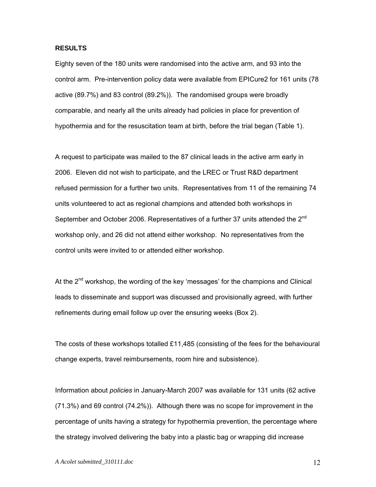#### **RESULTS**

Eighty seven of the 180 units were randomised into the active arm, and 93 into the control arm. Pre-intervention policy data were available from EPICure2 for 161 units (78 active (89.7%) and 83 control (89.2%)). The randomised groups were broadly comparable, and nearly all the units already had policies in place for prevention of hypothermia and for the resuscitation team at birth, before the trial began (Table 1).

A request to participate was mailed to the 87 clinical leads in the active arm early in 2006. Eleven did not wish to participate, and the LREC or Trust R&D department refused permission for a further two units. Representatives from 11 of the remaining 74 units volunteered to act as regional champions and attended both workshops in September and October 2006. Representatives of a further 37 units attended the 2<sup>nd</sup> workshop only, and 26 did not attend either workshop. No representatives from the control units were invited to or attended either workshop.

At the  $2^{nd}$  workshop, the wording of the key 'messages' for the champions and Clinical leads to disseminate and support was discussed and provisionally agreed, with further refinements during email follow up over the ensuring weeks (Box 2).

The costs of these workshops totalled £11,485 (consisting of the fees for the behavioural change experts, travel reimbursements, room hire and subsistence).

Information about *policies* in January-March 2007 was available for 131 units (62 active (71.3%) and 69 control (74.2%)). Although there was no scope for improvement in the percentage of units having a strategy for hypothermia prevention, the percentage where the strategy involved delivering the baby into a plastic bag or wrapping did increase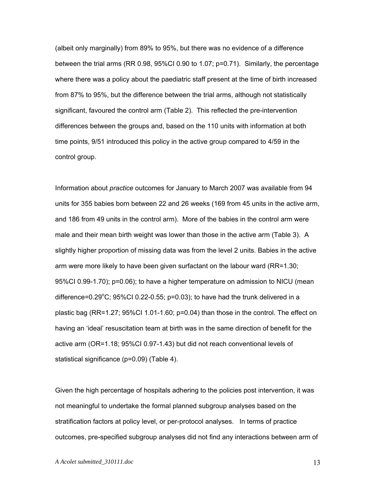(albeit only marginally) from 89% to 95%, but there was no evidence of a difference between the trial arms (RR 0.98, 95%CI 0.90 to 1.07; p=0.71). Similarly, the percentage where there was a policy about the paediatric staff present at the time of birth increased from 87% to 95%, but the difference between the trial arms, although not statistically significant, favoured the control arm (Table 2). This reflected the pre-intervention differences between the groups and, based on the 110 units with information at both time points, 9/51 introduced this policy in the active group compared to 4/59 in the control group.

Information about *practice* outcomes for January to March 2007 was available from 94 units for 355 babies born between 22 and 26 weeks (169 from 45 units in the active arm, and 186 from 49 units in the control arm). More of the babies in the control arm were male and their mean birth weight was lower than those in the active arm (Table 3). A slightly higher proportion of missing data was from the level 2 units. Babies in the active arm were more likely to have been given surfactant on the labour ward (RR=1.30; 95%CI 0.99-1.70); p=0.06); to have a higher temperature on admission to NICU (mean difference=0.29 $^{\circ}$ C; 95%CI 0.22-0.55; p=0.03); to have had the trunk delivered in a plastic bag (RR=1.27; 95%CI 1.01-1.60; p=0.04) than those in the control. The effect on having an 'ideal' resuscitation team at birth was in the same direction of benefit for the active arm (OR=1.18; 95%CI 0.97-1.43) but did not reach conventional levels of statistical significance (p=0.09) (Table 4).

Given the high percentage of hospitals adhering to the policies post intervention, it was not meaningful to undertake the formal planned subgroup analyses based on the stratification factors at policy level, or per-protocol analyses. In terms of practice outcomes, pre-specified subgroup analyses did not find any interactions between arm of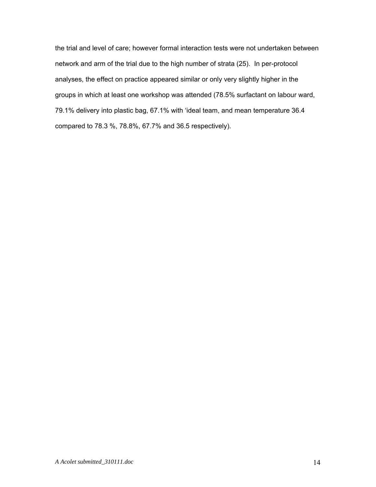the trial and level of care; however formal interaction tests were not undertaken between network and arm of the trial due to the high number of strata (25). In per-protocol analyses, the effect on practice appeared similar or only very slightly higher in the groups in which at least one workshop was attended (78.5% surfactant on labour ward, 79.1% delivery into plastic bag, 67.1% with 'ideal team, and mean temperature 36.4 compared to 78.3 %, 78.8%, 67.7% and 36.5 respectively).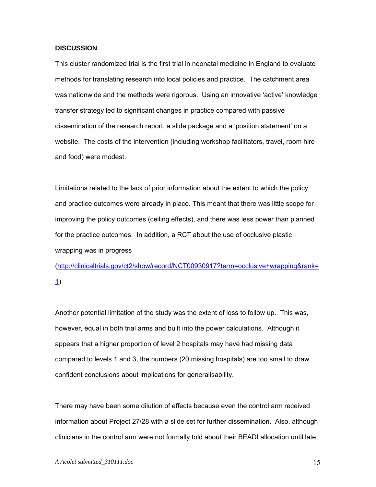#### **DISCUSSION**

This cluster randomized trial is the first trial in neonatal medicine in England to evaluate methods for translating research into local policies and practice. The catchment area was nationwide and the methods were rigorous. Using an innovative 'active' knowledge transfer strategy led to significant changes in practice compared with passive dissemination of the research report, a slide package and a 'position statement' on a website. The costs of the intervention (including workshop facilitators, travel, room hire and food) were modest.

Limitations related to the lack of prior information about the extent to which the policy and practice outcomes were already in place. This meant that there was little scope for improving the policy outcomes (ceiling effects), and there was less power than planned for the practice outcomes. In addition, a RCT about the use of occlusive plastic wrapping was in progress

([http://clinicaltrials.gov/ct2/show/record/NCT00930917?term=occlusive+wrapping&rank=](http://clinicaltrials.gov/ct2/show/record/NCT00930917?term=occlusive+wrapping&rank=1) [1](http://clinicaltrials.gov/ct2/show/record/NCT00930917?term=occlusive+wrapping&rank=1))

Another potential limitation of the study was the extent of loss to follow up. This was, however, equal in both trial arms and built into the power calculations. Although it appears that a higher proportion of level 2 hospitals may have had missing data compared to levels 1 and 3, the numbers (20 missing hospitals) are too small to draw confident conclusions about implications for generalisability.

There may have been some dilution of effects because even the control arm received information about Project 27/28 with a slide set for further dissemination. Also, although clinicians in the control arm were not formally told about their BEADI allocation until late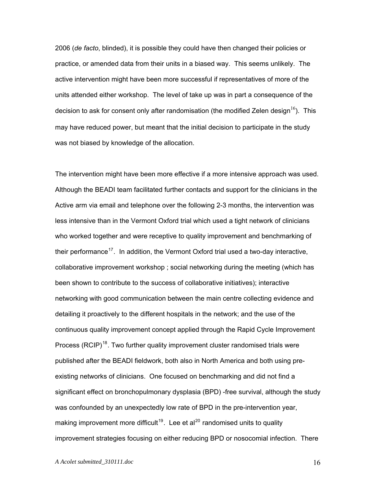2006 (*de facto*, blinded), it is possible they could have then changed their policies or practice, or amended data from their units in a biased way. This seems unlikely. The active intervention might have been more successful if representatives of more of the units attended either workshop. The level of take up was in part a consequence of the decision to ask for consent only after randomisation (the modified Zelen design<sup>[16](#page-10-0)</sup>). This may have reduced power, but meant that the initial decision to participate in the study was not biased by knowledge of the allocation.

The intervention might have been more effective if a more intensive approach was used. Although the BEADI team facilitated further contacts and support for the clinicians in the Active arm via email and telephone over the following 2-3 months, the intervention was less intensive than in the Vermont Oxford trial which used a tight network of clinicians who worked together and were receptive to quality improvement and benchmarking of their performance<sup>[17](#page-3-1)</sup>. In addition, the Vermont Oxford trial used a two-day interactive, collaborative improvement workshop ; social networking during the meeting (which has been shown to contribute to the success of collaborative initiatives); interactive networking with good communication between the main centre collecting evidence and detailing it proactively to the different hospitals in the network; and the use of the continuous quality improvement concept applied through the Rapid Cycle Improvement Process (RCIP)<sup>[18](#page-3-1)</sup>. Two further quality improvement cluster randomised trials were published after the BEADI fieldwork, both also in North America and both using preexisting networks of clinicians. One focused on benchmarking and did not find a significant effect on bronchopulmonary dysplasia (BPD) -free survival, although the study was confounded by an unexpectedly low rate of BPD in the pre-intervention year, making improvement more difficult<sup>[19](#page-4-0)</sup>. Lee et al<sup>[20](#page-4-0)</sup> randomised units to quality improvement strategies focusing on either reducing BPD or nosocomial infection. There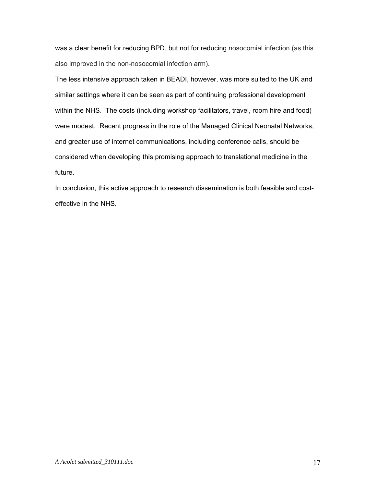was a clear benefit for reducing BPD, but not for reducing nosocomial infection (as this also improved in the non-nosocomial infection arm).

The less intensive approach taken in BEADI, however, was more suited to the UK and similar settings where it can be seen as part of continuing professional development within the NHS. The costs (including workshop facilitators, travel, room hire and food) were modest. Recent progress in the role of the Managed Clinical Neonatal Networks, and greater use of internet communications, including conference calls, should be considered when developing this promising approach to translational medicine in the future.

In conclusion, this active approach to research dissemination is both feasible and costeffective in the NHS.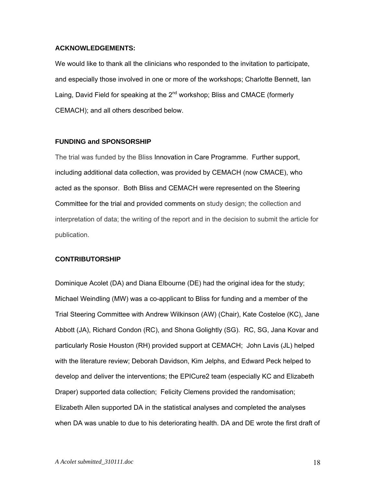#### **ACKNOWLEDGEMENTS:**

We would like to thank all the clinicians who responded to the invitation to participate, and especially those involved in one or more of the workshops; Charlotte Bennett, Ian Laing, David Field for speaking at the  $2^{nd}$  workshop; Bliss and CMACE (formerly CEMACH); and all others described below.

#### **FUNDING and SPONSORSHIP**

The trial was funded by the Bliss Innovation in Care Programme. Further support, including additional data collection, was provided by CEMACH (now CMACE), who acted as the sponsor. Both Bliss and CEMACH were represented on the Steering Committee for the trial and provided comments on study design; the collection and interpretation of data; the writing of the report and in the decision to submit the article for publication.

#### **CONTRIBUTORSHIP**

Dominique Acolet (DA) and Diana Elbourne (DE) had the original idea for the study; Michael Weindling (MW) was a co-applicant to Bliss for funding and a member of the Trial Steering Committee with Andrew Wilkinson (AW) (Chair), Kate Costeloe (KC), Jane Abbott (JA), Richard Condon (RC), and Shona Golightly (SG). RC, SG, Jana Kovar and particularly Rosie Houston (RH) provided support at CEMACH; John Lavis (JL) helped with the literature review; Deborah Davidson, Kim Jelphs, and Edward Peck helped to develop and deliver the interventions; the EPICure2 team (especially KC and Elizabeth Draper) supported data collection; Felicity Clemens provided the randomisation; Elizabeth Allen supported DA in the statistical analyses and completed the analyses when DA was unable to due to his deteriorating health. DA and DE wrote the first draft of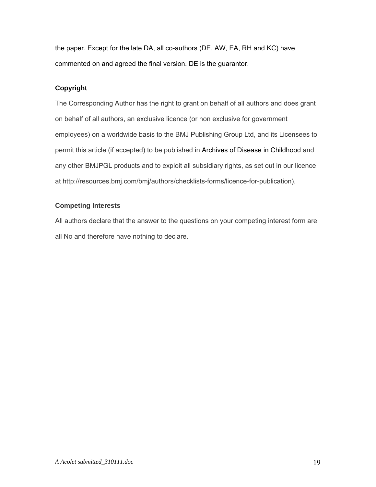the paper. Except for the late DA, all co-authors (DE, AW, EA, RH and KC) have commented on and agreed the final version. DE is the guarantor.

### **Copyright**

The Corresponding Author has the right to grant on behalf of all authors and does grant on behalf of all authors, an exclusive licence (or non exclusive for government employees) on a worldwide basis to the BMJ Publishing Group Ltd, and its Licensees to permit this article (if accepted) to be published in Archives of Disease in Childhood and any other BMJPGL products and to exploit all subsidiary rights, as set out in our licence at http://resources.bmj.com/bmj/authors/checklists-forms/licence-for-publication).

### **Competing Interests**

All authors declare that the answer to the questions on your competing interest form are all No and therefore have nothing to declare.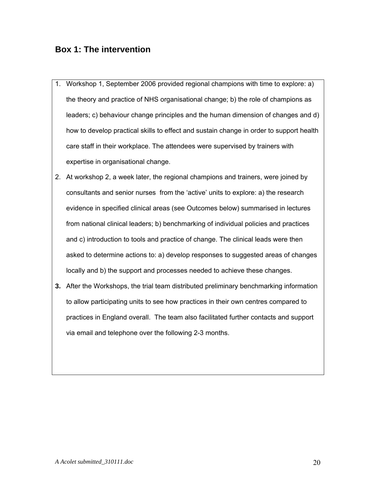## **Box 1: The intervention**

- 1. Workshop 1, September 2006 provided regional champions with time to explore: a) the theory and practice of NHS organisational change; b) the role of champions as leaders; c) behaviour change principles and the human dimension of changes and d) how to develop practical skills to effect and sustain change in order to support health care staff in their workplace. The attendees were supervised by trainers with expertise in organisational change.
- 2. At workshop 2, a week later, the regional champions and trainers, were joined by consultants and senior nurses from the 'active' units to explore: a) the research evidence in specified clinical areas (see Outcomes below) summarised in lectures from national clinical leaders; b) benchmarking of individual policies and practices and c) introduction to tools and practice of change. The clinical leads were then asked to determine actions to: a) develop responses to suggested areas of changes locally and b) the support and processes needed to achieve these changes.
- **3.** After the Workshops, the trial team distributed preliminary benchmarking information to allow participating units to see how practices in their own centres compared to practices in England overall. The team also facilitated further contacts and support via email and telephone over the following 2-3 months.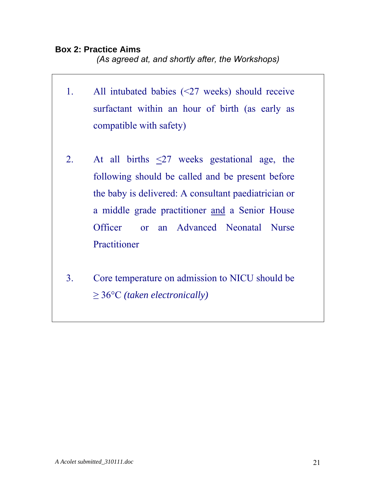## **Box 2: Practice Aims**

*(As agreed at, and shortly after, the Workshops)* 

- 1. All intubated babies (<27 weeks) should receive surfactant within an hour of birth (as early as compatible with safety)
- 2. At all births  $\leq 27$  weeks gestational age, the following should be called and be present before the baby is delivered: A consultant paediatrician or a middle grade practitioner and a Senior House Officer or an Advanced Neonatal Nurse Practitioner
- 3. Core temperature on admission to NICU should be ≥ 36°C *(taken electronically)*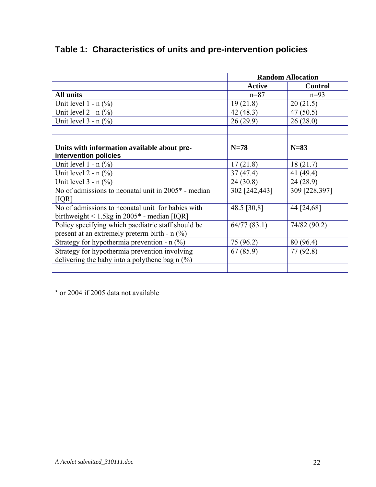|                                                       | <b>Random Allocation</b> |                |
|-------------------------------------------------------|--------------------------|----------------|
|                                                       | <b>Active</b>            | <b>Control</b> |
| <b>All units</b>                                      | $n = 87$                 | $n=93$         |
| Unit level $1 - n$ (%)                                | 19(21.8)                 | 20(21.5)       |
| Unit level $2 - n$ (%)                                | 42 (48.3)                | 47(50.5)       |
| Unit level $3 - n$ (%)                                | 26(29.9)                 | 26(28.0)       |
|                                                       |                          |                |
|                                                       |                          |                |
| Units with information available about pre-           | $N=78$                   | $N=83$         |
| intervention policies                                 |                          |                |
| Unit level $1 - n$ (%)                                | 17(21.8)                 | 18(21.7)       |
| Unit level $2 - n$ (%)                                | 37(47.4)                 | 41(49.4)       |
| Unit level $3 - n$ (%)                                | 24(30.8)                 | 24(28.9)       |
| No of admissions to neonatal unit in $2005*$ - median | 302 [242,443]            | 309 [228,397]  |
| [IQR]                                                 |                          |                |
| No of admissions to neonatal unit for babies with     | 48.5 [30,8]              | 44 [24,68]     |
| birthweight $\leq 1.5$ kg in 2005 $*$ - median [IQR]  |                          |                |
| Policy specifying which paediatric staff should be    | 64/77(83.1)              | 74/82 (90.2)   |
| present at an extremely preterm birth - $n$ (%)       |                          |                |
| Strategy for hypothermia prevention - $n$ (%)         | 75 (96.2)                | 80 (96.4)      |
| Strategy for hypothermia prevention involving         | 67(85.9)                 | 77 (92.8)      |
| delivering the baby into a polythene bag $n$ (%)      |                          |                |
|                                                       |                          |                |

# **Table 1: Characteristics of units and pre-intervention policies**

\* or 2004 if 2005 data not available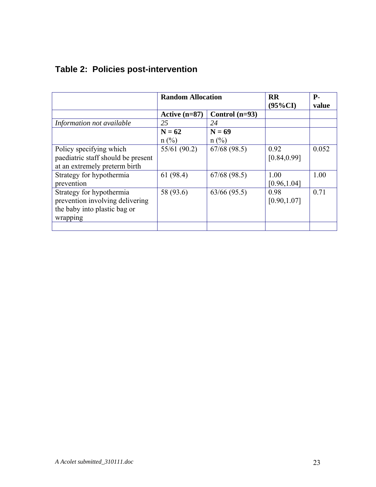|                                    | <b>Random Allocation</b> |                  | <b>RR</b><br>$(95\%CI)$ | Р-<br>value |
|------------------------------------|--------------------------|------------------|-------------------------|-------------|
|                                    | Active $(n=87)$          | Control $(n=93)$ |                         |             |
| Information not available          | 25                       | 24               |                         |             |
|                                    | $N = 62$                 | $N = 69$         |                         |             |
|                                    | $n$ (%)                  | $n$ (%)          |                         |             |
| Policy specifying which            | 55/61 (90.2)             | 67/68(98.5)      | 0.92                    | 0.052       |
| paediatric staff should be present |                          |                  | [0.84, 0.99]            |             |
| at an extremely preterm birth      |                          |                  |                         |             |
| Strategy for hypothermia           | 61(98.4)                 | 67/68(98.5)      | 1.00                    | 1.00        |
| prevention                         |                          |                  | [0.96, 1.04]            |             |
| Strategy for hypothermia           | 58 (93.6)                | 63/66(95.5)      | 0.98                    | 0.71        |
| prevention involving delivering    |                          |                  | [0.90, 1.07]            |             |
| the baby into plastic bag or       |                          |                  |                         |             |
| wrapping                           |                          |                  |                         |             |
|                                    |                          |                  |                         |             |

# **Table 2: Policies post-intervention**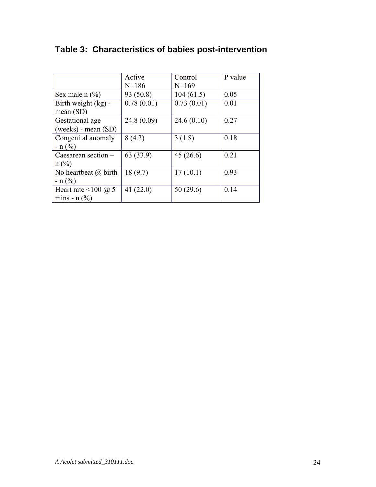|                                       |             |            | P value |
|---------------------------------------|-------------|------------|---------|
|                                       | Active      | Control    |         |
|                                       | $N = 186$   | $N=169$    |         |
| Sex male $n$ (%)                      | 93 (50.8)   | 104(61.5)  | 0.05    |
| Birth weight (kg) -                   | 0.78(0.01)  | 0.73(0.01) | 0.01    |
| mean $(SD)$                           |             |            |         |
| Gestational age                       | 24.8(0.09)  | 24.6(0.10) | 0.27    |
| (weeks) - mean (SD)                   |             |            |         |
| Congenital anomaly                    | 8(4.3)      | 3(1.8)     | 0.18    |
| $- n (%)$                             |             |            |         |
| Caesarean section $-$                 | 63 (33.9)   | 45(26.6)   | 0.21    |
| $n$ (%)                               |             |            |         |
| No heartbeat $\omega$ birth           | 18(9.7)     | 17(10.1)   | 0.93    |
| $- n$ (%)                             |             |            |         |
| Heart rate <100 $\omega$ 5            | 41 $(22.0)$ | 50(29.6)   | 0.14    |
| mins - $n$ $\left(\frac{9}{0}\right)$ |             |            |         |
|                                       |             |            |         |

# **Table 3: Characteristics of babies post-intervention**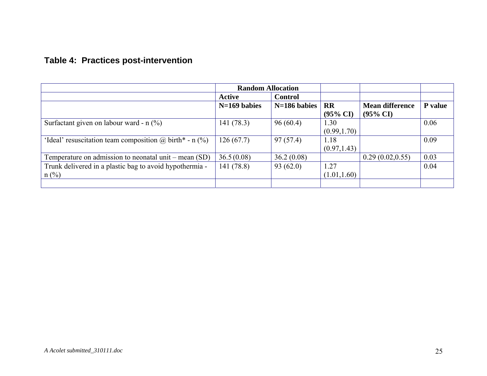# **Table 4: Practices post-intervention**

|                                                                    | <b>Random Allocation</b> |                |                                  |                                               |         |
|--------------------------------------------------------------------|--------------------------|----------------|----------------------------------|-----------------------------------------------|---------|
|                                                                    | <b>Active</b>            | <b>Control</b> |                                  |                                               |         |
|                                                                    | $N=169$ babies           | N=186 babies   | <b>RR</b><br>$(95\% \text{ CI})$ | <b>Mean difference</b><br>$(95\% \text{ CI})$ | P value |
| Surfactant given on labour ward - $n$ (%)                          | 141 (78.3)               | 96(60.4)       | 1.30<br>(0.99, 1.70)             |                                               | 0.06    |
| 'Ideal' resuscitation team composition $\omega$ birth* - n (%)     | 126(67.7)                | 97(57.4)       | 1.18<br>(0.97, 1.43)             |                                               | 0.09    |
| Temperature on admission to neonatal unit – mean $(SD)$            | 36.5(0.08)               | 36.2(0.08)     |                                  | 0.29(0.02, 0.55)                              | 0.03    |
| Trunk delivered in a plastic bag to avoid hypothermia -<br>$n$ (%) | 141 (78.8)               | 93(62.0)       | 1.27<br>(1.01, 1.60)             |                                               | 0.04    |
|                                                                    |                          |                |                                  |                                               |         |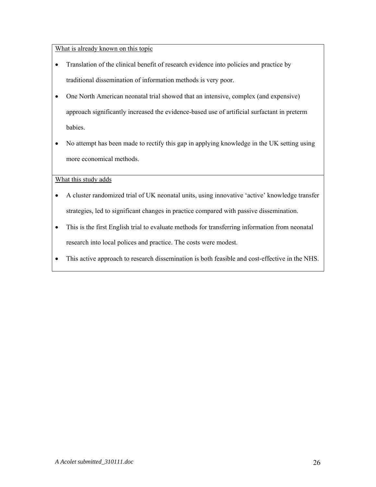What is already known on this topic

- Translation of the clinical benefit of research evidence into policies and practice by traditional dissemination of information methods is very poor.
- One North American neonatal trial showed that an intensive, complex (and expensive) approach significantly increased the evidence-based use of artificial surfactant in preterm babies.
- No attempt has been made to rectify this gap in applying knowledge in the UK setting using more economical methods.

### What this study adds

- A cluster randomized trial of UK neonatal units, using innovative 'active' knowledge transfer strategies, led to significant changes in practice compared with passive dissemination.
- This is the first English trial to evaluate methods for transferring information from neonatal research into local polices and practice. The costs were modest.
- This active approach to research dissemination is both feasible and cost-effective in the NHS.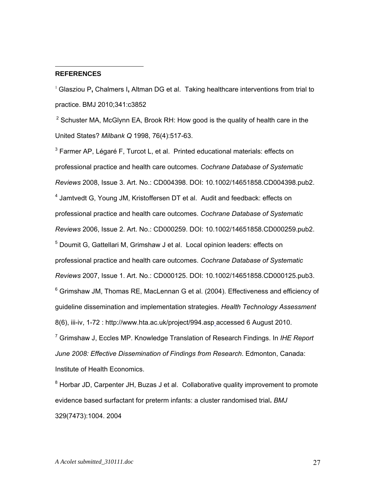#### **REFERENCES**

 $\overline{a}$ 

<sup>1</sup> Glasziou P**,** Chalmers I**,** Altman DG et al. Taking healthcare interventions from trial to practice. BMJ 2010;341:c3852

 $2$  Schuster MA, McGlynn EA, Brook RH: How good is the quality of health care in the United States? *Milbank Q* 1998, 76(4):517-63.

 $3$  Farmer AP, Légaré F, Turcot L, et al. Printed educational materials: effects on professional practice and health care outcomes. *Cochrane Database of Systematic Reviews* 2008, Issue 3. Art. No.: CD004398. DOI: 10.1002/14651858.CD004398.pub2. <sup>4</sup> Jamtvedt G, Young JM, Kristoffersen DT et al. Audit and feedback: effects on professional practice and health care outcomes. *Cochrane Database of Systematic Reviews* 2006, Issue 2. Art. No.: CD000259. DOI: 10.1002/14651858.CD000259.pub2. <sup>5</sup> Doumit G, Gattellari M, Grimshaw J et al. Local opinion leaders: effects on professional practice and health care outcomes. *Cochrane Database of Systematic Reviews* 2007, Issue 1. Art. No.: CD000125. DOI: 10.1002/14651858.CD000125.pub3.  $6$  Grimshaw JM, Thomas RE, MacLennan G et al. (2004). Effectiveness and efficiency of guideline dissemination and implementation strategies. *Health Technology Assessment*  8(6), iii-iv, 1-72 : http://www.hta.ac.uk/project/994.asp accessed 6 August 2010. 7 Grimshaw J, Eccles MP. Knowledge Translation of Research Findings. In *IHE Report* 

*June 2008: Effective Dissemination of Findings from Research*. Edmonton, Canada: Institute of Health Economics.

<sup>8</sup> Horbar JD, Carpenter JH, Buzas J et al. Collaborative quality improvement to promote evidence based surfactant for preterm infants: a cluster randomised trial**.** *BMJ*  329(7473):1004. 2004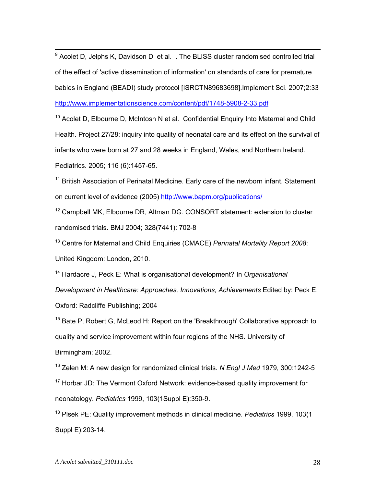$9$  [Acolet D, Jelphs K, Davidson D et al. .](http://www.ncbi.nlm.nih.gov/pubmed/17922901?ordinalpos=8&itool=EntrezSystem2.PEntrez.Pubmed.Pubmed_ResultsPanel.Pubmed_RVDocSum) The BLISS cluster randomised controlled trial of the effect of 'active dissemination of information' on standards of care for premature babies in England (BEADI) study protocol [ISRCTN89683698].Implement Sci. 2007;2:33 <http://www.implementationscience.com/content/pdf/1748-5908-2-33.pdf>

 $10$  Acolet D, Elbourne D, McIntosh N et al. Confidential Enquiry Into Maternal and Child Health. Project 27/28: inquiry into quality of neonatal care and its effect on the survival of infants who were born at 27 and 28 weeks in England, Wales, and Northern Ireland. Pediatrics. 2005; 116 (6):1457-65.

 $11$  British Association of Perinatal Medicine. Early care of the newborn infant. Statement on current level of evidence (2005)<http://www.bapm.org/publications/>

 $12$  Campbell MK, Elbourne DR, Altman DG. CONSORT statement: extension to cluster randomised trials. BMJ 2004; 328(7441): 702-8

13 Centre for Maternal and Child Enquiries (CMACE) *Perinatal Mortality Report 2008*: United Kingdom: London, 2010.

14 Hardacre J, Peck E: What is organisational development? In *Organisational* 

*Development in Healthcare: Approaches, Innovations, Achievements* Edited by: Peck E. Oxford: Radcliffe Publishing; 2004

 $15$  Bate P, Robert G, McLeod H: Report on the 'Breakthrough' Collaborative approach to quality and service improvement within four regions of the NHS. University of Birmingham; 2002.

16 Zelen M: A new design for randomized clinical trials. *N Engl J Med* 1979, 300:1242-5  $17$  Horbar JD: The Vermont Oxford Network: evidence-based quality improvement for neonatology. *Pediatrics* 1999, 103(1Suppl E):350-9.

18 Plsek PE: Quality improvement methods in clinical medicine. *Pediatrics* 1999, 103(1 Suppl E):203-14.